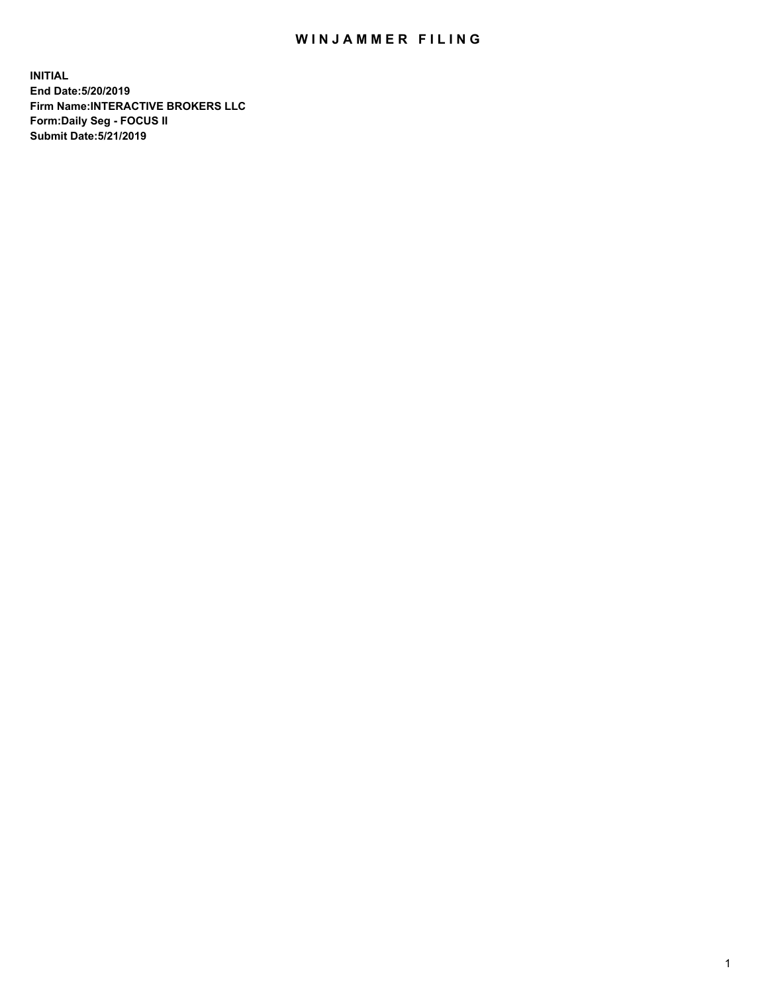## WIN JAMMER FILING

**INITIAL End Date:5/20/2019 Firm Name:INTERACTIVE BROKERS LLC Form:Daily Seg - FOCUS II Submit Date:5/21/2019**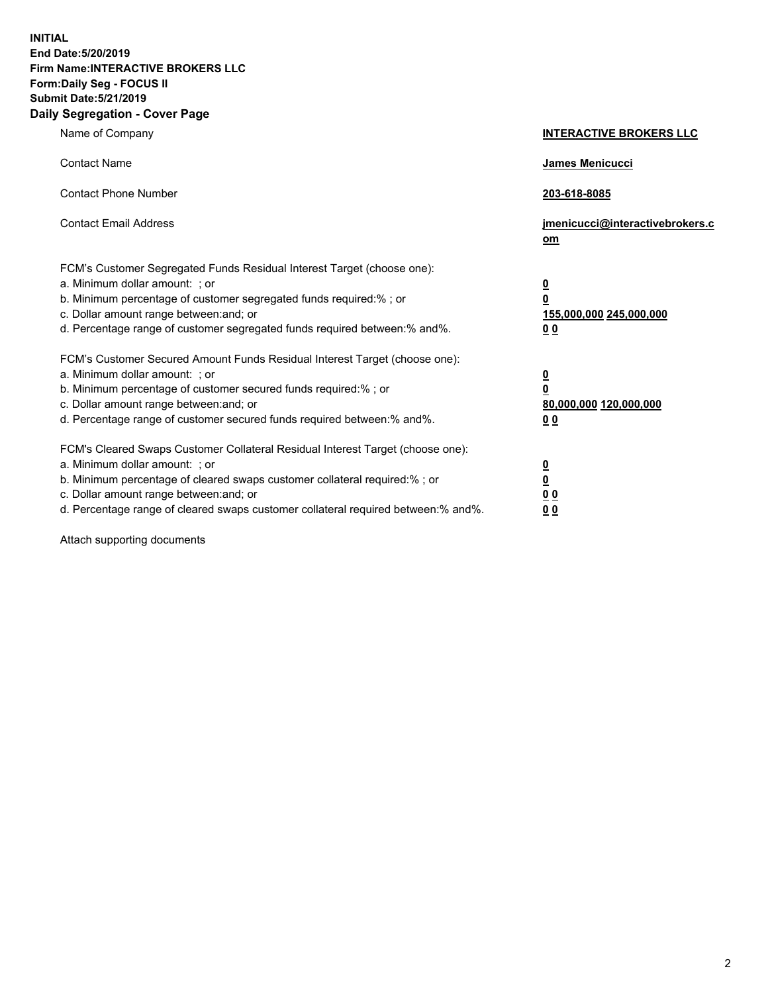**INITIAL End Date:5/20/2019 Firm Name:INTERACTIVE BROKERS LLC Form:Daily Seg - FOCUS II Submit Date:5/21/2019 Daily Segregation - Cover Page**

| Name of Company                                                                                                                                                                                                                                                                                                                | <b>INTERACTIVE BROKERS LLC</b>                                                                  |
|--------------------------------------------------------------------------------------------------------------------------------------------------------------------------------------------------------------------------------------------------------------------------------------------------------------------------------|-------------------------------------------------------------------------------------------------|
| <b>Contact Name</b>                                                                                                                                                                                                                                                                                                            | James Menicucci                                                                                 |
| <b>Contact Phone Number</b>                                                                                                                                                                                                                                                                                                    | 203-618-8085                                                                                    |
| <b>Contact Email Address</b>                                                                                                                                                                                                                                                                                                   | jmenicucci@interactivebrokers.c<br>om                                                           |
| FCM's Customer Segregated Funds Residual Interest Target (choose one):<br>a. Minimum dollar amount: ; or<br>b. Minimum percentage of customer segregated funds required:% ; or<br>c. Dollar amount range between: and; or<br>d. Percentage range of customer segregated funds required between:% and%.                         | $\overline{\mathbf{0}}$<br>$\overline{\mathbf{0}}$<br>155,000,000 245,000,000<br>0 <sub>0</sub> |
| FCM's Customer Secured Amount Funds Residual Interest Target (choose one):<br>a. Minimum dollar amount: ; or<br>b. Minimum percentage of customer secured funds required:%; or<br>c. Dollar amount range between: and; or<br>d. Percentage range of customer secured funds required between:% and%.                            | $\overline{\mathbf{0}}$<br>$\overline{\mathbf{0}}$<br>80,000,000 120,000,000<br>00              |
| FCM's Cleared Swaps Customer Collateral Residual Interest Target (choose one):<br>a. Minimum dollar amount: ; or<br>b. Minimum percentage of cleared swaps customer collateral required:% ; or<br>c. Dollar amount range between: and; or<br>d. Percentage range of cleared swaps customer collateral required between:% and%. | $\overline{\mathbf{0}}$<br>$\underline{\mathbf{0}}$<br>0 <sub>0</sub><br>0 <sub>0</sub>         |

Attach supporting documents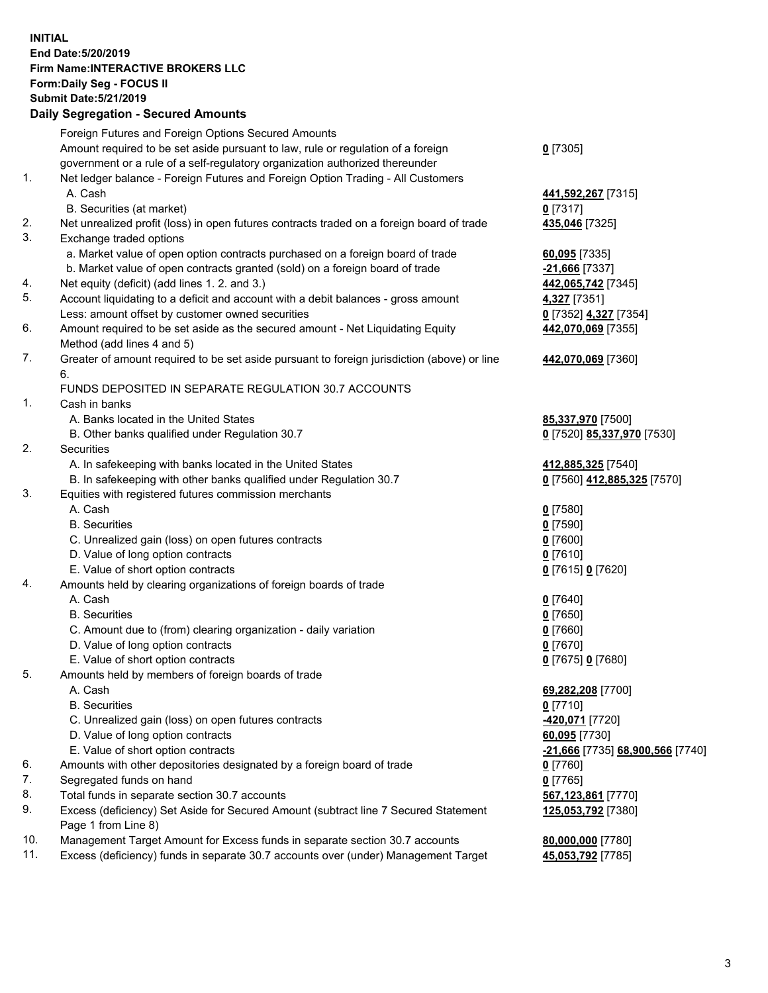## **INITIAL End Date:5/20/2019 Firm Name:INTERACTIVE BROKERS LLC Form:Daily Seg - FOCUS II Submit Date:5/21/2019 Daily Segregation - Secured Amounts**

|                | Dany Ocgregation - Oceaned Anioante                                                               |                                                |
|----------------|---------------------------------------------------------------------------------------------------|------------------------------------------------|
|                | Foreign Futures and Foreign Options Secured Amounts                                               |                                                |
|                | Amount required to be set aside pursuant to law, rule or regulation of a foreign                  | $0$ [7305]                                     |
|                | government or a rule of a self-regulatory organization authorized thereunder                      |                                                |
| 1.             | Net ledger balance - Foreign Futures and Foreign Option Trading - All Customers                   |                                                |
|                | A. Cash                                                                                           | 441,592,267 [7315]                             |
|                | B. Securities (at market)                                                                         | $0$ [7317]                                     |
| 2.             | Net unrealized profit (loss) in open futures contracts traded on a foreign board of trade         | 435,046 [7325]                                 |
| 3.             | Exchange traded options                                                                           |                                                |
|                | a. Market value of open option contracts purchased on a foreign board of trade                    | $60,095$ [7335]                                |
|                | b. Market value of open contracts granted (sold) on a foreign board of trade                      | -21,666 [7337]                                 |
| 4.             | Net equity (deficit) (add lines 1. 2. and 3.)                                                     | 442,065,742 [7345]                             |
| 5.             | Account liquidating to a deficit and account with a debit balances - gross amount                 | 4,327 [7351]                                   |
|                | Less: amount offset by customer owned securities                                                  | 0 [7352] 4,327 [7354]                          |
| 6.             | Amount required to be set aside as the secured amount - Net Liquidating Equity                    | 442,070,069 [7355]                             |
|                | Method (add lines 4 and 5)                                                                        |                                                |
| 7.             | Greater of amount required to be set aside pursuant to foreign jurisdiction (above) or line<br>6. | 442,070,069 [7360]                             |
|                | FUNDS DEPOSITED IN SEPARATE REGULATION 30.7 ACCOUNTS                                              |                                                |
| $\mathbf{1}$ . | Cash in banks                                                                                     |                                                |
|                | A. Banks located in the United States                                                             | 85,337,970 [7500]                              |
|                | B. Other banks qualified under Regulation 30.7                                                    | 0 [7520] 85,337,970 [7530]                     |
| 2.             | Securities                                                                                        |                                                |
|                | A. In safekeeping with banks located in the United States                                         | 412,885,325 [7540]                             |
|                | B. In safekeeping with other banks qualified under Regulation 30.7                                | 0 [7560] 412,885,325 [7570]                    |
| 3.             | Equities with registered futures commission merchants                                             |                                                |
|                | A. Cash                                                                                           | $0$ [7580]                                     |
|                | <b>B.</b> Securities                                                                              | $0$ [7590]                                     |
|                | C. Unrealized gain (loss) on open futures contracts                                               | $0$ [7600]                                     |
|                | D. Value of long option contracts                                                                 | $0$ [7610]                                     |
|                | E. Value of short option contracts                                                                | 0 [7615] 0 [7620]                              |
| 4.             | Amounts held by clearing organizations of foreign boards of trade                                 |                                                |
|                | A. Cash                                                                                           | $0$ [7640]                                     |
|                | <b>B.</b> Securities                                                                              | $0$ [7650]                                     |
|                | C. Amount due to (from) clearing organization - daily variation                                   | $0$ [7660]                                     |
|                | D. Value of long option contracts                                                                 | $0$ [7670]                                     |
|                | E. Value of short option contracts                                                                | 0 [7675] 0 [7680]                              |
| 5.             | Amounts held by members of foreign boards of trade                                                |                                                |
|                | A. Cash                                                                                           | 69,282,208 [7700]                              |
|                | <b>B.</b> Securities                                                                              | $0$ [7710]                                     |
|                | C. Unrealized gain (loss) on open futures contracts                                               | 420,071 [7720]                                 |
|                | D. Value of long option contracts                                                                 | 60,095 [7730]                                  |
|                | E. Value of short option contracts                                                                | <u>-21,666</u> [7735] <u>68,900,566</u> [7740] |
| 6.             | Amounts with other depositories designated by a foreign board of trade                            | 0 [7760]                                       |
| 7.             | Segregated funds on hand                                                                          | $0$ [7765]                                     |
| 8.             | Total funds in separate section 30.7 accounts                                                     | 567,123,861 [7770]                             |
| 9.             | Excess (deficiency) Set Aside for Secured Amount (subtract line 7 Secured Statement               | 125,053,792 [7380]                             |
|                | Page 1 from Line 8)                                                                               |                                                |
| 10.            | Management Target Amount for Excess funds in separate section 30.7 accounts                       | 80,000,000 [7780]                              |
| 11.            | Excess (deficiency) funds in separate 30.7 accounts over (under) Management Target                | 45,053,792 [7785]                              |
|                |                                                                                                   |                                                |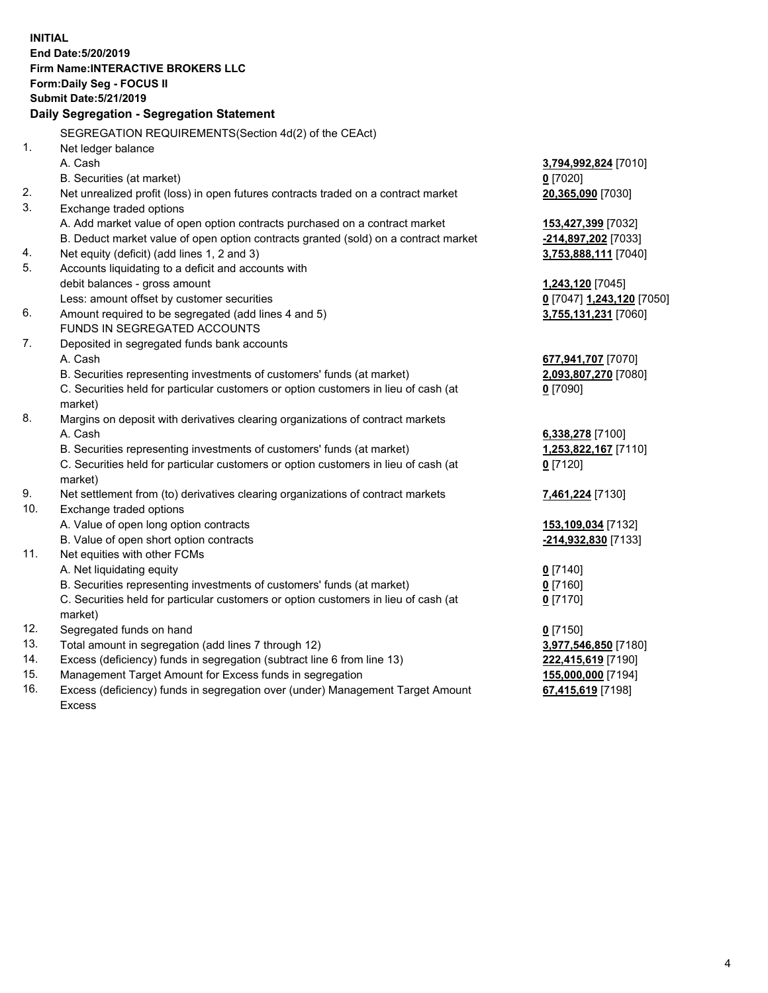**INITIAL End Date:5/20/2019 Firm Name:INTERACTIVE BROKERS LLC Form:Daily Seg - FOCUS II Submit Date:5/21/2019 Daily Segregation - Segregation Statement** SEGREGATION REQUIREMENTS(Section 4d(2) of the CEAct) 1. Net ledger balance A. Cash **3,794,992,824** [7010] B. Securities (at market) **0** [7020] 2. Net unrealized profit (loss) in open futures contracts traded on a contract market **20,365,090** [7030] 3. Exchange traded options A. Add market value of open option contracts purchased on a contract market **153,427,399** [7032] B. Deduct market value of open option contracts granted (sold) on a contract market **-214,897,202** [7033] 4. Net equity (deficit) (add lines 1, 2 and 3) **3,753,888,111** [7040] 5. Accounts liquidating to a deficit and accounts with debit balances - gross amount **1,243,120** [7045] Less: amount offset by customer securities **0** [7047] **1,243,120** [7050] 6. Amount required to be segregated (add lines 4 and 5) **3,755,131,231** [7060] FUNDS IN SEGREGATED ACCOUNTS 7. Deposited in segregated funds bank accounts A. Cash **677,941,707** [7070] B. Securities representing investments of customers' funds (at market) **2,093,807,270** [7080] C. Securities held for particular customers or option customers in lieu of cash (at market) **0** [7090] 8. Margins on deposit with derivatives clearing organizations of contract markets A. Cash **6,338,278** [7100] B. Securities representing investments of customers' funds (at market) **1,253,822,167** [7110] C. Securities held for particular customers or option customers in lieu of cash (at market) **0** [7120] 9. Net settlement from (to) derivatives clearing organizations of contract markets **7,461,224** [7130] 10. Exchange traded options A. Value of open long option contracts **153,109,034** [7132] B. Value of open short option contracts **-214,932,830** [7133] 11. Net equities with other FCMs A. Net liquidating equity **0** [7140] B. Securities representing investments of customers' funds (at market) **0** [7160] C. Securities held for particular customers or option customers in lieu of cash (at market) **0** [7170] 12. Segregated funds on hand **0** [7150] 13. Total amount in segregation (add lines 7 through 12) **3,977,546,850** [7180] 14. Excess (deficiency) funds in segregation (subtract line 6 from line 13) **222,415,619** [7190] 15. Management Target Amount for Excess funds in segregation **155,000,000** [7194]

16. Excess (deficiency) funds in segregation over (under) Management Target Amount Excess

**67,415,619** [7198]